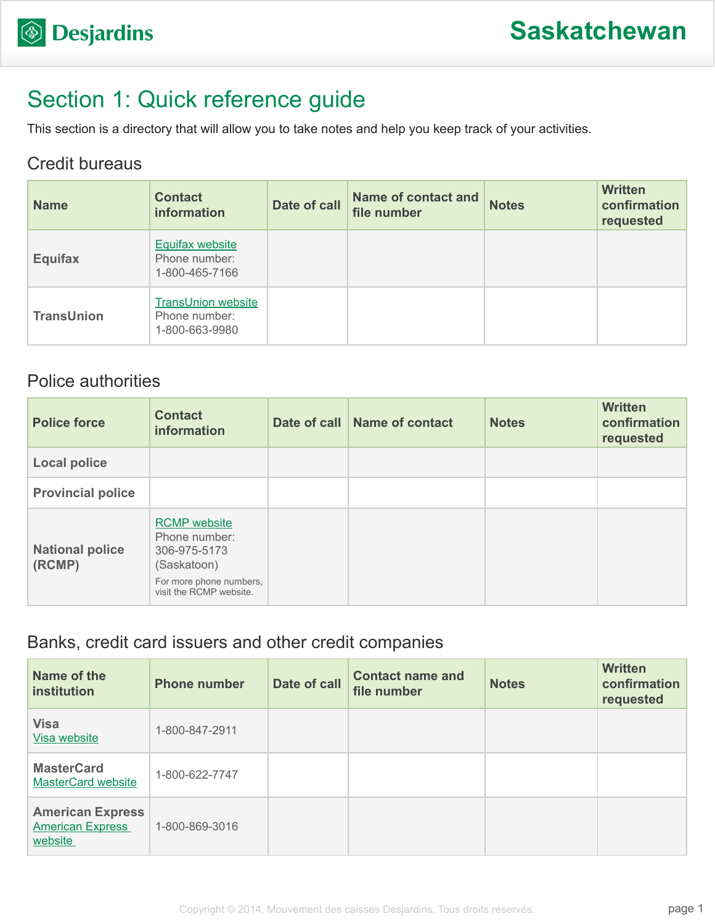# Section 1: Quick reference guide

This section is a directory that will allow you to take notes and help you keep track of your activities.

### Credit bureaus

| <b>Name</b>       | <b>Contact</b><br><b>information</b>                         | Date of call | <b>Name of contact and</b><br>file number | <b>Notes</b> | <b>Written</b><br>confirmation<br>requested |
|-------------------|--------------------------------------------------------------|--------------|-------------------------------------------|--------------|---------------------------------------------|
| <b>Equifax</b>    | <b>Equifax website</b><br>Phone number:<br>1-800-465-7166    |              |                                           |              |                                             |
| <b>TransUnion</b> | <b>TransUnion website</b><br>Phone number:<br>1-800-663-9980 |              |                                           |              |                                             |

### Police authorities

| <b>Police force</b>              | <b>Contact</b><br>information                                                                                             | Date of call Name of contact | <b>Notes</b> | <b>Written</b><br>confirmation<br>requested |
|----------------------------------|---------------------------------------------------------------------------------------------------------------------------|------------------------------|--------------|---------------------------------------------|
| <b>Local police</b>              |                                                                                                                           |                              |              |                                             |
| <b>Provincial police</b>         |                                                                                                                           |                              |              |                                             |
| <b>National police</b><br>(RCMP) | <b>RCMP</b> website<br>Phone number:<br>306-975-5173<br>(Saskatoon)<br>For more phone numbers,<br>visit the RCMP website. |                              |              |                                             |

### Banks, credit card issuers and other credit companies

| Name of the<br>institution                                    | <b>Phone number</b> | Date of call | <b>Contact name and</b><br>file number | <b>Notes</b> | <b>Written</b><br>confirmation<br>requested |
|---------------------------------------------------------------|---------------------|--------------|----------------------------------------|--------------|---------------------------------------------|
| <b>Visa</b><br>Visa website                                   | 1-800-847-2911      |              |                                        |              |                                             |
| <b>MasterCard</b><br><b>MasterCard website</b>                | 1-800-622-7747      |              |                                        |              |                                             |
| <b>American Express</b><br><b>American Express</b><br>website | 1-800-869-3016      |              |                                        |              |                                             |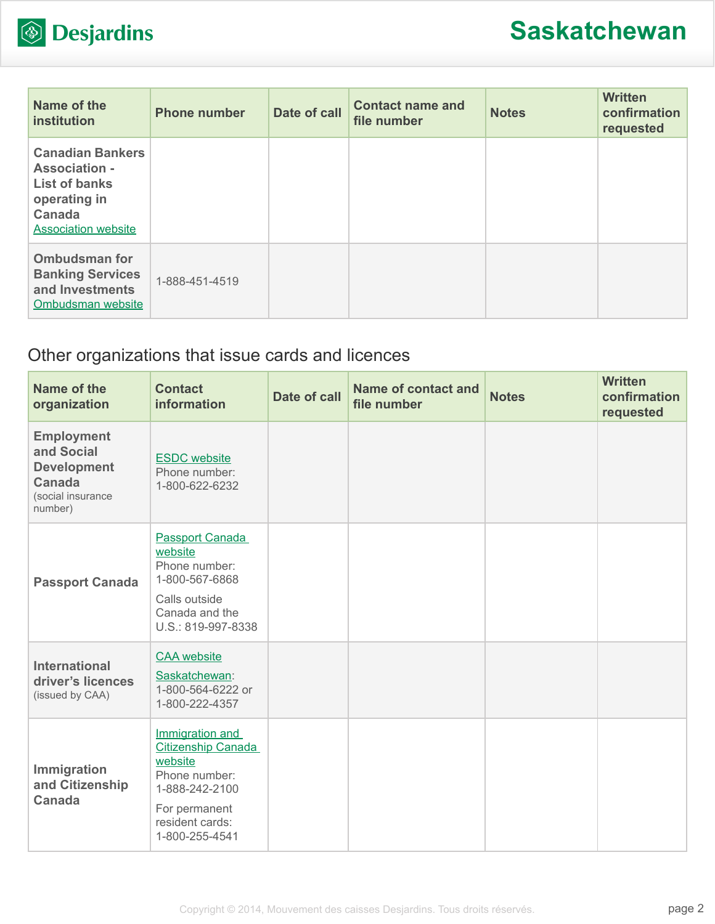

| Name of the<br>institution                                                                                                             | <b>Phone number</b> | Date of call | <b>Contact name and</b><br>file number | <b>Notes</b> | <b>Written</b><br>confirmation<br>requested |
|----------------------------------------------------------------------------------------------------------------------------------------|---------------------|--------------|----------------------------------------|--------------|---------------------------------------------|
| <b>Canadian Bankers</b><br><b>Association -</b><br><b>List of banks</b><br>operating in<br><b>Canada</b><br><b>Association website</b> |                     |              |                                        |              |                                             |
| <b>Ombudsman for</b><br><b>Banking Services</b><br>and Investments<br>Ombudsman website                                                | 1-888-451-4519      |              |                                        |              |                                             |

## Other organizations that issue cards and licences

| Name of the<br>organization                                                                     | <b>Contact</b><br>information                                                                                                                    | <b>Date of call</b> | <b>Name of contact and</b><br>file number | <b>Notes</b> | <b>Written</b><br>confirmation<br>requested |
|-------------------------------------------------------------------------------------------------|--------------------------------------------------------------------------------------------------------------------------------------------------|---------------------|-------------------------------------------|--------------|---------------------------------------------|
| <b>Employment</b><br>and Social<br><b>Development</b><br>Canada<br>(social insurance<br>number) | <b>ESDC</b> website<br>Phone number:<br>1-800-622-6232                                                                                           |                     |                                           |              |                                             |
| <b>Passport Canada</b>                                                                          | <b>Passport Canada</b><br>website<br>Phone number:<br>1-800-567-6868<br>Calls outside<br>Canada and the<br>U.S.: 819-997-8338                    |                     |                                           |              |                                             |
| <b>International</b><br>driver's licences<br>(issued by CAA)                                    | <b>CAA</b> website<br>Saskatchewan:<br>1-800-564-6222 or<br>1-800-222-4357                                                                       |                     |                                           |              |                                             |
| Immigration<br>and Citizenship<br><b>Canada</b>                                                 | Immigration and<br><b>Citizenship Canada</b><br>website<br>Phone number:<br>1-888-242-2100<br>For permanent<br>resident cards:<br>1-800-255-4541 |                     |                                           |              |                                             |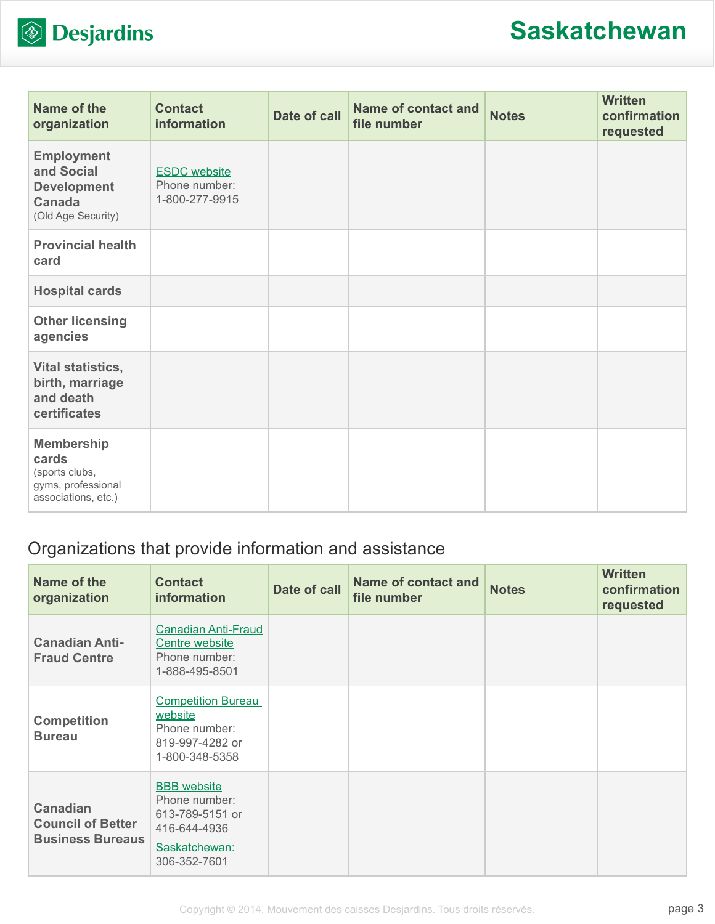

| Name of the<br>organization                                                               | <b>Contact</b><br>information                          | Date of call | <b>Name of contact and</b><br>file number | <b>Notes</b> | <b>Written</b><br>confirmation<br>requested |
|-------------------------------------------------------------------------------------------|--------------------------------------------------------|--------------|-------------------------------------------|--------------|---------------------------------------------|
| <b>Employment</b><br>and Social<br><b>Development</b><br>Canada<br>(Old Age Security)     | <b>ESDC</b> website<br>Phone number:<br>1-800-277-9915 |              |                                           |              |                                             |
| <b>Provincial health</b><br>card                                                          |                                                        |              |                                           |              |                                             |
| <b>Hospital cards</b>                                                                     |                                                        |              |                                           |              |                                             |
| <b>Other licensing</b><br>agencies                                                        |                                                        |              |                                           |              |                                             |
| Vital statistics,<br>birth, marriage<br>and death<br>certificates                         |                                                        |              |                                           |              |                                             |
| <b>Membership</b><br>cards<br>(sports clubs,<br>gyms, professional<br>associations, etc.) |                                                        |              |                                           |              |                                             |

## Organizations that provide information and assistance

| Name of the<br>organization                                            | <b>Contact</b><br><b>information</b>                                                                    | Date of call | <b>Name of contact and</b><br>file number | <b>Notes</b> | <b>Written</b><br>confirmation<br>requested |
|------------------------------------------------------------------------|---------------------------------------------------------------------------------------------------------|--------------|-------------------------------------------|--------------|---------------------------------------------|
| <b>Canadian Anti-</b><br><b>Fraud Centre</b>                           | <b>Canadian Anti-Fraud</b><br>Centre website<br>Phone number:<br>1-888-495-8501                         |              |                                           |              |                                             |
| <b>Competition</b><br><b>Bureau</b>                                    | <b>Competition Bureau</b><br>website<br>Phone number:<br>819-997-4282 or<br>1-800-348-5358              |              |                                           |              |                                             |
| <b>Canadian</b><br><b>Council of Better</b><br><b>Business Bureaus</b> | <b>BBB</b> website<br>Phone number:<br>613-789-5151 or<br>416-644-4936<br>Saskatchewan:<br>306-352-7601 |              |                                           |              |                                             |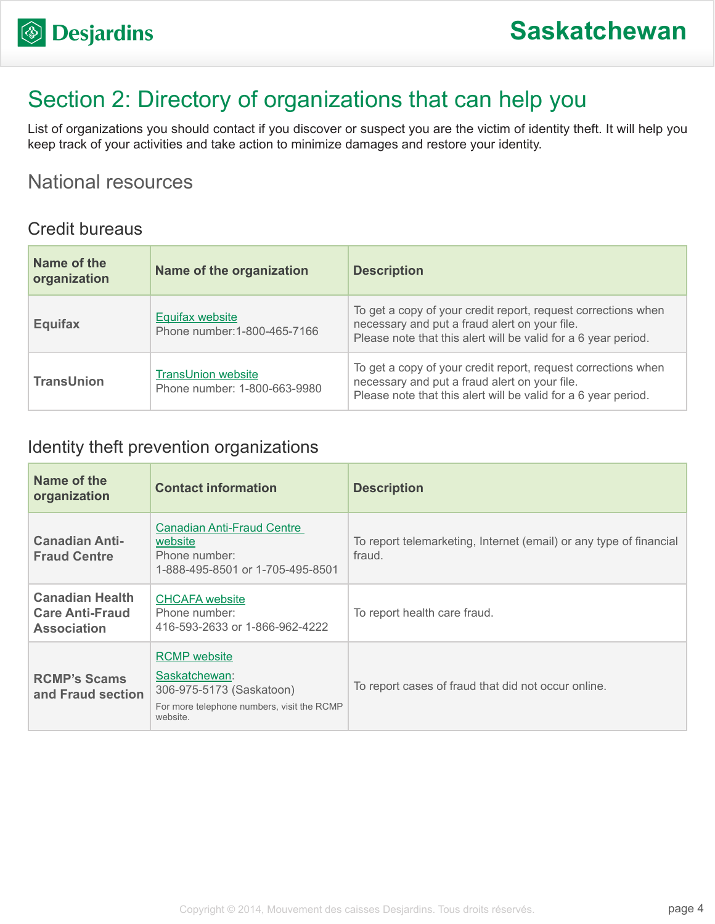# Section 2: Directory of organizations that can help you

List of organizations you should contact if you discover or suspect you are the victim of identity theft. It will help you keep track of your activities and take action to minimize damages and restore your identity.

## National resources

#### Credit bureaus

| Name of the<br>organization | Name of the organization                                  | <b>Description</b>                                                                                                                                                               |
|-----------------------------|-----------------------------------------------------------|----------------------------------------------------------------------------------------------------------------------------------------------------------------------------------|
| <b>Equifax</b>              | <b>Equifax website</b><br>Phone number: 1-800-465-7166    | To get a copy of your credit report, request corrections when<br>necessary and put a fraud alert on your file.<br>Please note that this alert will be valid for a 6 year period. |
| <b>TransUnion</b>           | <b>TransUnion website</b><br>Phone number: 1-800-663-9980 | To get a copy of your credit report, request corrections when<br>necessary and put a fraud alert on your file.<br>Please note that this alert will be valid for a 6 year period. |

### Identity theft prevention organizations

| Name of the<br>organization                                            | <b>Contact information</b>                                                                                                 | <b>Description</b>                                                           |
|------------------------------------------------------------------------|----------------------------------------------------------------------------------------------------------------------------|------------------------------------------------------------------------------|
| <b>Canadian Anti-</b><br><b>Fraud Centre</b>                           | <b>Canadian Anti-Fraud Centre</b><br>website<br>Phone number:<br>1-888-495-8501 or 1-705-495-8501                          | To report telemarketing, Internet (email) or any type of financial<br>fraud. |
| <b>Canadian Health</b><br><b>Care Anti-Fraud</b><br><b>Association</b> | <b>CHCAFA</b> website<br>Phone number:<br>416-593-2633 or 1-866-962-4222                                                   | To report health care fraud.                                                 |
| <b>RCMP's Scams</b><br>and Fraud section                               | <b>RCMP</b> website<br>Saskatchewan:<br>306-975-5173 (Saskatoon)<br>For more telephone numbers, visit the RCMP<br>website. | To report cases of fraud that did not occur online.                          |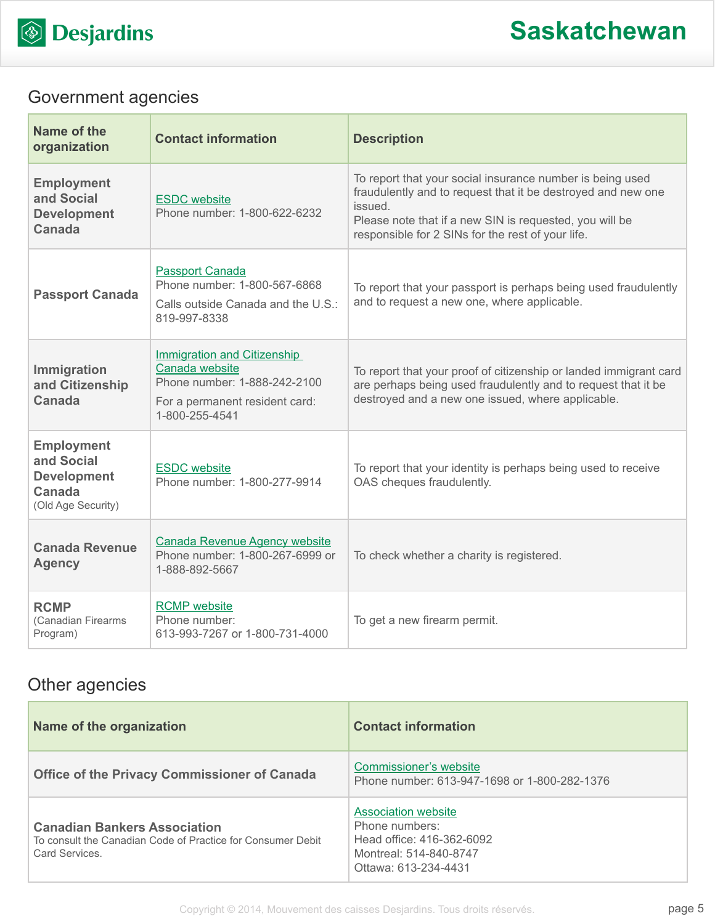

## Government agencies

| Name of the<br>organization                                                           | <b>Contact information</b>                                                                                                               | <b>Description</b>                                                                                                                                                                                                                                   |
|---------------------------------------------------------------------------------------|------------------------------------------------------------------------------------------------------------------------------------------|------------------------------------------------------------------------------------------------------------------------------------------------------------------------------------------------------------------------------------------------------|
| <b>Employment</b><br>and Social<br><b>Development</b><br>Canada                       | <b>ESDC</b> website<br>Phone number: 1-800-622-6232                                                                                      | To report that your social insurance number is being used<br>fraudulently and to request that it be destroyed and new one<br>issued.<br>Please note that if a new SIN is requested, you will be<br>responsible for 2 SINs for the rest of your life. |
| <b>Passport Canada</b>                                                                | <b>Passport Canada</b><br>Phone number: 1-800-567-6868<br>Calls outside Canada and the U.S.:<br>819-997-8338                             | To report that your passport is perhaps being used fraudulently<br>and to request a new one, where applicable.                                                                                                                                       |
| Immigration<br>and Citizenship<br><b>Canada</b>                                       | <b>Immigration and Citizenship</b><br>Canada website<br>Phone number: 1-888-242-2100<br>For a permanent resident card:<br>1-800-255-4541 | To report that your proof of citizenship or landed immigrant card<br>are perhaps being used fraudulently and to request that it be<br>destroyed and a new one issued, where applicable.                                                              |
| <b>Employment</b><br>and Social<br><b>Development</b><br>Canada<br>(Old Age Security) | <b>ESDC</b> website<br>Phone number: 1-800-277-9914                                                                                      | To report that your identity is perhaps being used to receive<br>OAS cheques fraudulently.                                                                                                                                                           |
| <b>Canada Revenue</b><br><b>Agency</b>                                                | <b>Canada Revenue Agency website</b><br>Phone number: 1-800-267-6999 or<br>1-888-892-5667                                                | To check whether a charity is registered.                                                                                                                                                                                                            |
| <b>RCMP</b><br>(Canadian Firearms<br>Program)                                         | <b>RCMP</b> website<br>Phone number:<br>613-993-7267 or 1-800-731-4000                                                                   | To get a new firearm permit.                                                                                                                                                                                                                         |

## Other agencies

| Name of the organization                                                                                            | <b>Contact information</b>                                                                                                  |
|---------------------------------------------------------------------------------------------------------------------|-----------------------------------------------------------------------------------------------------------------------------|
| <b>Office of the Privacy Commissioner of Canada</b>                                                                 | Commissioner's website<br>Phone number: 613-947-1698 or 1-800-282-1376                                                      |
| <b>Canadian Bankers Association</b><br>To consult the Canadian Code of Practice for Consumer Debit<br>Card Services | <b>Association website</b><br>Phone numbers:<br>Head office: 416-362-6092<br>Montreal: 514-840-8747<br>Ottawa: 613-234-4431 |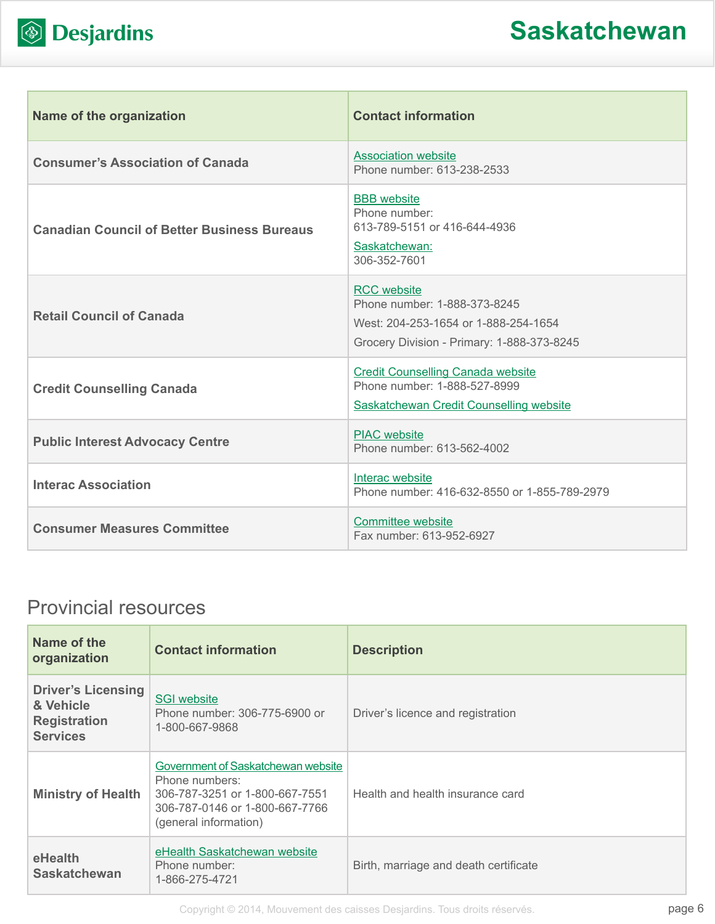

| <b>Name of the organization</b>                    | <b>Contact information</b>                                                                                                               |
|----------------------------------------------------|------------------------------------------------------------------------------------------------------------------------------------------|
| <b>Consumer's Association of Canada</b>            | <b>Association website</b><br>Phone number: 613-238-2533                                                                                 |
| <b>Canadian Council of Better Business Bureaus</b> | <b>BBB</b> website<br>Phone number:<br>613-789-5151 or 416-644-4936<br>Saskatchewan:<br>306-352-7601                                     |
| <b>Retail Council of Canada</b>                    | <b>RCC</b> website<br>Phone number: 1-888-373-8245<br>West: 204-253-1654 or 1-888-254-1654<br>Grocery Division - Primary: 1-888-373-8245 |
| <b>Credit Counselling Canada</b>                   | <b>Credit Counselling Canada website</b><br>Phone number: 1-888-527-8999<br>Saskatchewan Credit Counselling website                      |
| <b>Public Interest Advocacy Centre</b>             | <b>PIAC</b> website<br>Phone number: 613-562-4002                                                                                        |
| <b>Interac Association</b>                         | Interac website<br>Phone number: 416-632-8550 or 1-855-789-2979                                                                          |
| <b>Consumer Measures Committee</b>                 | <b>Committee website</b><br>Fax number: 613-952-6927                                                                                     |

# Provincial resources

| Name of the<br>organization                                                      | <b>Contact information</b>                                                                                                                        | <b>Description</b>                    |
|----------------------------------------------------------------------------------|---------------------------------------------------------------------------------------------------------------------------------------------------|---------------------------------------|
| <b>Driver's Licensing</b><br>& Vehicle<br><b>Registration</b><br><b>Services</b> | <b>SGI website</b><br>Phone number: 306-775-6900 or<br>1-800-667-9868                                                                             | Driver's licence and registration     |
| <b>Ministry of Health</b>                                                        | Government of Saskatchewan website<br>Phone numbers:<br>306-787-3251 or 1-800-667-7551<br>306-787-0146 or 1-800-667-7766<br>(general information) | Health and health insurance card      |
| eHealth<br><b>Saskatchewan</b>                                                   | eHealth Saskatchewan website<br>Phone number:<br>1-866-275-4721                                                                                   | Birth, marriage and death certificate |